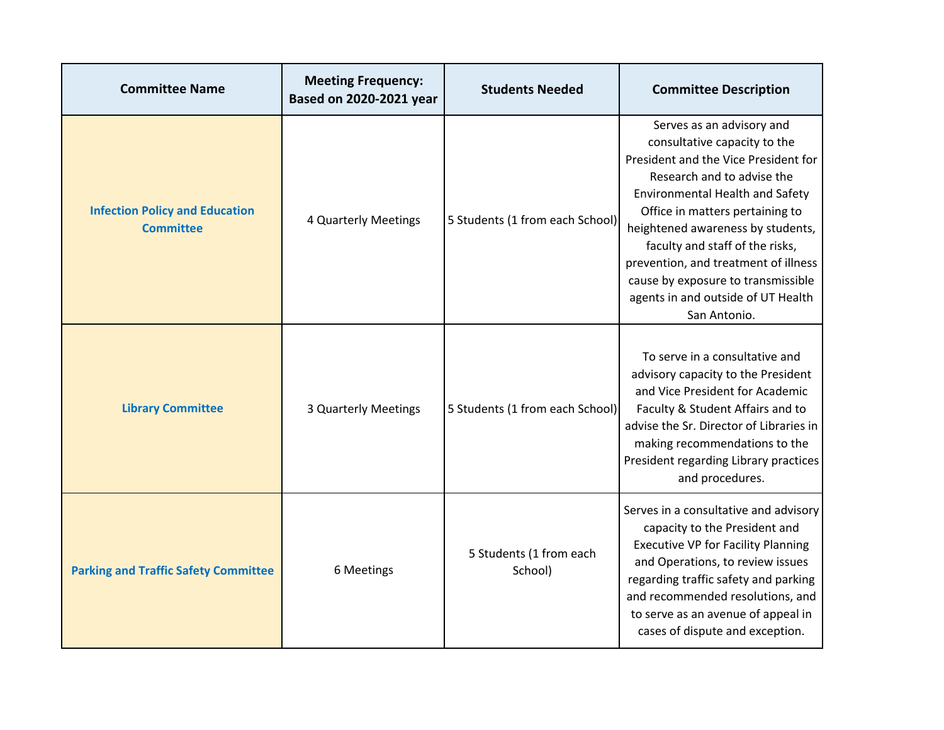| <b>Committee Name</b>                                     | <b>Meeting Frequency:</b><br>Based on 2020-2021 year | <b>Students Needed</b>             | <b>Committee Description</b>                                                                                                                                                                                                                                                                                                                                                                                             |
|-----------------------------------------------------------|------------------------------------------------------|------------------------------------|--------------------------------------------------------------------------------------------------------------------------------------------------------------------------------------------------------------------------------------------------------------------------------------------------------------------------------------------------------------------------------------------------------------------------|
| <b>Infection Policy and Education</b><br><b>Committee</b> | 4 Quarterly Meetings                                 | 5 Students (1 from each School)    | Serves as an advisory and<br>consultative capacity to the<br>President and the Vice President for<br>Research and to advise the<br><b>Environmental Health and Safety</b><br>Office in matters pertaining to<br>heightened awareness by students,<br>faculty and staff of the risks,<br>prevention, and treatment of illness<br>cause by exposure to transmissible<br>agents in and outside of UT Health<br>San Antonio. |
| <b>Library Committee</b>                                  | 3 Quarterly Meetings                                 | 5 Students (1 from each School)    | To serve in a consultative and<br>advisory capacity to the President<br>and Vice President for Academic<br>Faculty & Student Affairs and to<br>advise the Sr. Director of Libraries in<br>making recommendations to the<br>President regarding Library practices<br>and procedures.                                                                                                                                      |
| <b>Parking and Traffic Safety Committee</b>               | 6 Meetings                                           | 5 Students (1 from each<br>School) | Serves in a consultative and advisory<br>capacity to the President and<br><b>Executive VP for Facility Planning</b><br>and Operations, to review issues<br>regarding traffic safety and parking<br>and recommended resolutions, and<br>to serve as an avenue of appeal in<br>cases of dispute and exception.                                                                                                             |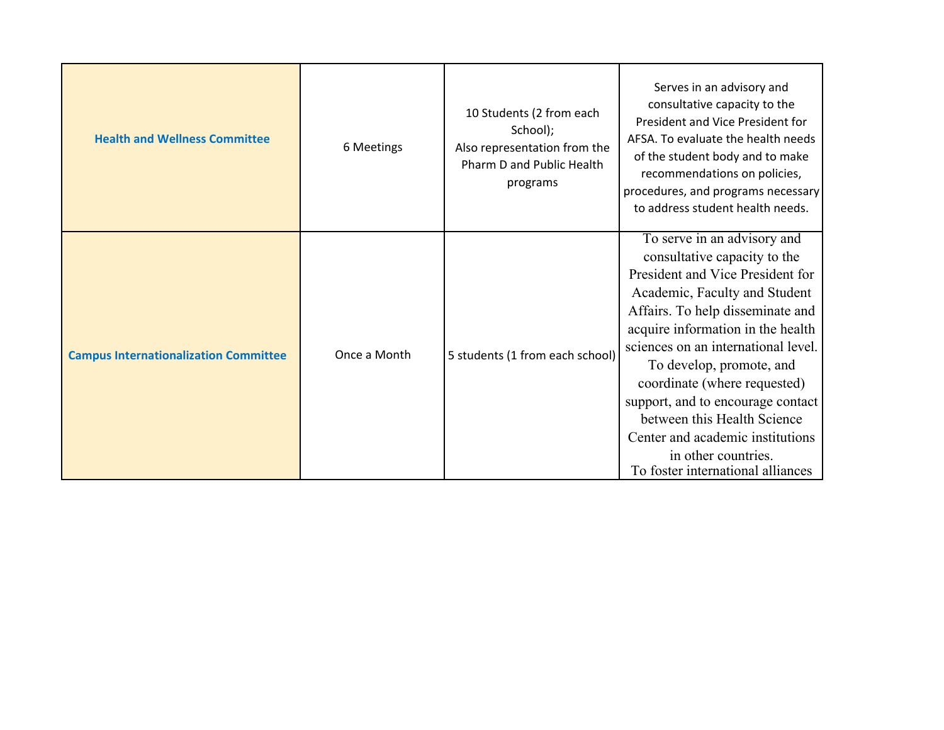| <b>Health and Wellness Committee</b>         | 6 Meetings   | 10 Students (2 from each<br>School);<br>Also representation from the<br>Pharm D and Public Health<br>programs | Serves in an advisory and<br>consultative capacity to the<br>President and Vice President for<br>AFSA. To evaluate the health needs<br>of the student body and to make<br>recommendations on policies,<br>procedures, and programs necessary<br>to address student health needs.                                                                                                                                                                                                 |
|----------------------------------------------|--------------|---------------------------------------------------------------------------------------------------------------|----------------------------------------------------------------------------------------------------------------------------------------------------------------------------------------------------------------------------------------------------------------------------------------------------------------------------------------------------------------------------------------------------------------------------------------------------------------------------------|
|                                              |              |                                                                                                               |                                                                                                                                                                                                                                                                                                                                                                                                                                                                                  |
| <b>Campus Internationalization Committee</b> | Once a Month | 5 students (1 from each school)                                                                               | To serve in an advisory and<br>consultative capacity to the<br>President and Vice President for<br>Academic, Faculty and Student<br>Affairs. To help disseminate and<br>acquire information in the health<br>sciences on an international level.<br>To develop, promote, and<br>coordinate (where requested)<br>support, and to encourage contact<br>between this Health Science<br>Center and academic institutions<br>in other countries.<br>To foster international alliances |